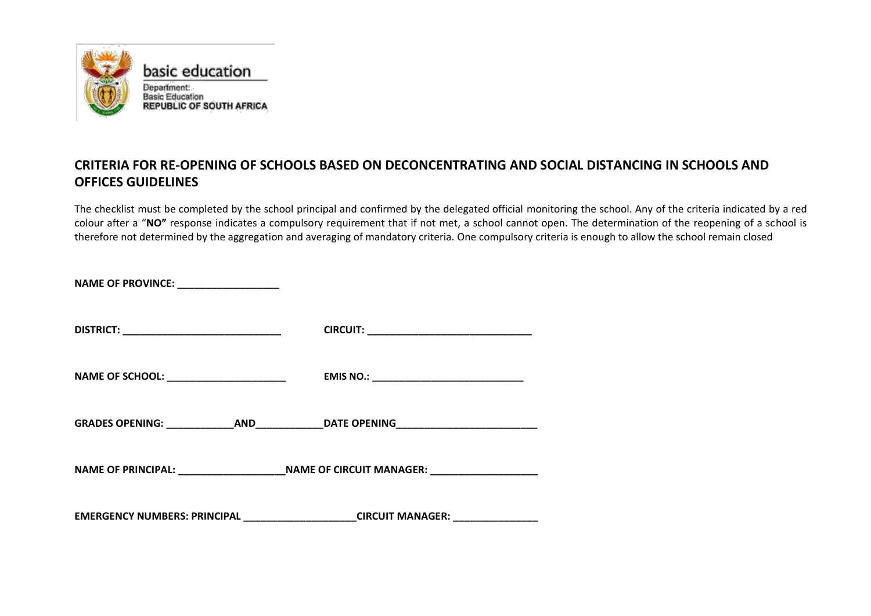

## **CRITERIA FOR RE-OPENING OF SCHOOLS BASED ON DECONCENTRATING AND SOCIAL DISTANCING IN SCHOOLS AND OFFICES GUIDELINES**

The checklist must be completed by the school principal and confirmed by the delegated official monitoring the school. Any of the criteria indicated by a red colour after a "**NO"** response indicates a compulsory requirement that if not met, a school cannot open. The determination of the reopening of a school is therefore not determined by the aggregation and averaging of mandatory criteria. One compulsory criteria is enough to allow the school remain closed

| NAME OF PROVINCE: ___________________         |                                                                                                     |
|-----------------------------------------------|-----------------------------------------------------------------------------------------------------|
| DISTRICT: ___________________________________ |                                                                                                     |
| NAME OF SCHOOL: ________________________      |                                                                                                     |
|                                               | GRADES OPENING: ______________AND______________DATE OPENING_____________________                    |
|                                               | NAME OF PRINCIPAL: ___________________________NAME OF CIRCUIT MANAGER: ____________________________ |
|                                               | EMERGENCY NUMBERS: PRINCIPAL ____________________CIRCUIT MANAGER: ______________                    |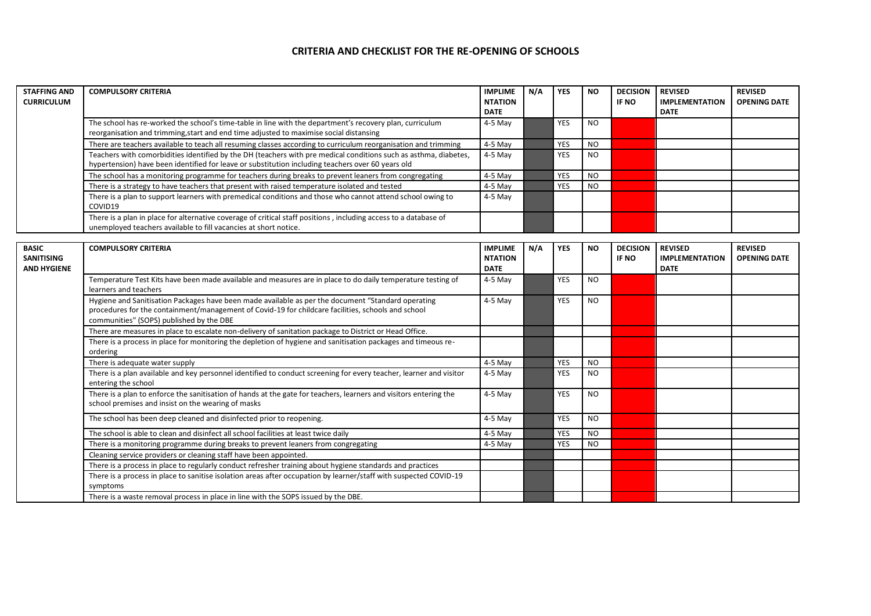## **CRITERIA AND CHECKLIST FOR THE RE-OPENING OF SCHOOLS**

| <b>STAFFING AND</b><br><b>CURRICULUM</b> | <b>COMPULSORY CRITERIA</b>                                                                                                                                                                                            | <b>IMPLIME</b><br><b>NTATION</b><br><b>DATE</b> | N/A | <b>YES</b> | <b>NO</b> | <b>DECISION</b><br><b>IF NO</b> | <b>REVISED</b><br><b>IMPLEMENTATION</b><br>DATE | <b>REVISED</b><br><b>OPENING DATE</b> |
|------------------------------------------|-----------------------------------------------------------------------------------------------------------------------------------------------------------------------------------------------------------------------|-------------------------------------------------|-----|------------|-----------|---------------------------------|-------------------------------------------------|---------------------------------------|
|                                          | The school has re-worked the school's time-table in line with the department's recovery plan, curriculum<br>reorganisation and trimming, start and end time adjusted to maximise social distansing                    | 4-5 May                                         |     | <b>YES</b> | <b>NO</b> |                                 |                                                 |                                       |
|                                          | There are teachers available to teach all resuming classes according to curriculum reorganisation and trimming                                                                                                        | 4-5 May                                         |     | <b>YES</b> | <b>NO</b> |                                 |                                                 |                                       |
|                                          | Teachers with comorbidities identified by the DH (teachers with pre medical conditions such as asthma, diabetes,<br>hypertension) have been identified for leave or substitution including teachers over 60 years old | $4-5$ May                                       |     | <b>YES</b> | NO.       |                                 |                                                 |                                       |
|                                          | The school has a monitoring programme for teachers during breaks to prevent leaners from congregating                                                                                                                 | 4-5 May                                         |     | <b>YES</b> | NO.       |                                 |                                                 |                                       |
|                                          | There is a strategy to have teachers that present with raised temperature isolated and tested                                                                                                                         | $4-5$ May                                       |     | <b>YES</b> | NO.       |                                 |                                                 |                                       |
|                                          | There is a plan to support learners with premedical conditions and those who cannot attend school owing to<br>COVID19                                                                                                 | 4-5 May                                         |     |            |           |                                 |                                                 |                                       |
|                                          | There is a plan in place for alternative coverage of critical staff positions, including access to a database of<br>unemployed teachers available to fill vacancies at short notice.                                  |                                                 |     |            |           |                                 |                                                 |                                       |

| <b>BASIC</b><br><b>SANITISING</b><br><b>AND HYGIENE</b> | <b>COMPULSORY CRITERIA</b>                                                                                                                                                                                                                           | <b>IMPLIME</b><br><b>NTATION</b><br><b>DATE</b> | N/A | <b>YES</b> | <b>NO</b>      | <b>DECISION</b><br>IF NO | <b>REVISED</b><br><b>IMPLEMENTATION</b><br><b>DATE</b> | <b>REVISED</b><br><b>OPENING DATE</b> |
|---------------------------------------------------------|------------------------------------------------------------------------------------------------------------------------------------------------------------------------------------------------------------------------------------------------------|-------------------------------------------------|-----|------------|----------------|--------------------------|--------------------------------------------------------|---------------------------------------|
|                                                         | Temperature Test Kits have been made available and measures are in place to do daily temperature testing of<br>learners and teachers                                                                                                                 | $4-5$ May                                       |     | <b>YES</b> | N <sub>O</sub> |                          |                                                        |                                       |
|                                                         | Hygiene and Sanitisation Packages have been made available as per the document "Standard operating<br>procedures for the containment/management of Covid-19 for childcare facilities, schools and school<br>communities" (SOPS) published by the DBE | $4-5$ May                                       |     | <b>YES</b> | N <sub>O</sub> |                          |                                                        |                                       |
|                                                         | There are measures in place to escalate non-delivery of sanitation package to District or Head Office.                                                                                                                                               |                                                 |     |            |                |                          |                                                        |                                       |
|                                                         | There is a process in place for monitoring the depletion of hygiene and sanitisation packages and timeous re-<br>ordering                                                                                                                            |                                                 |     |            |                |                          |                                                        |                                       |
|                                                         | There is adequate water supply                                                                                                                                                                                                                       | $4-5$ May                                       |     | YES        | <b>NO</b>      |                          |                                                        |                                       |
|                                                         | There is a plan available and key personnel identified to conduct screening for every teacher, learner and visitor<br>entering the school                                                                                                            | $4-5$ May                                       |     | <b>YES</b> | NO.            |                          |                                                        |                                       |
|                                                         | There is a plan to enforce the sanitisation of hands at the gate for teachers, learners and visitors entering the<br>school premises and insist on the wearing of masks                                                                              | $4-5$ May                                       |     | <b>YES</b> | N <sub>O</sub> |                          |                                                        |                                       |
|                                                         | The school has been deep cleaned and disinfected prior to reopening.                                                                                                                                                                                 | $4-5$ May                                       |     | <b>YES</b> | N <sub>O</sub> |                          |                                                        |                                       |
|                                                         | The school is able to clean and disinfect all school facilities at least twice daily                                                                                                                                                                 | $4-5$ May                                       |     | <b>YES</b> | <b>NO</b>      |                          |                                                        |                                       |
|                                                         | There is a monitoring programme during breaks to prevent leaners from congregating                                                                                                                                                                   | $4-5$ May                                       |     | <b>YES</b> | <b>NO</b>      |                          |                                                        |                                       |
|                                                         | Cleaning service providers or cleaning staff have been appointed.                                                                                                                                                                                    |                                                 |     |            |                |                          |                                                        |                                       |
|                                                         | There is a process in place to regularly conduct refresher training about hygiene standards and practices                                                                                                                                            |                                                 |     |            |                |                          |                                                        |                                       |
|                                                         | There is a process in place to sanitise isolation areas after occupation by learner/staff with suspected COVID-19<br>symptoms                                                                                                                        |                                                 |     |            |                |                          |                                                        |                                       |
|                                                         | There is a waste removal process in place in line with the SOPS issued by the DBE.                                                                                                                                                                   |                                                 |     |            |                |                          |                                                        |                                       |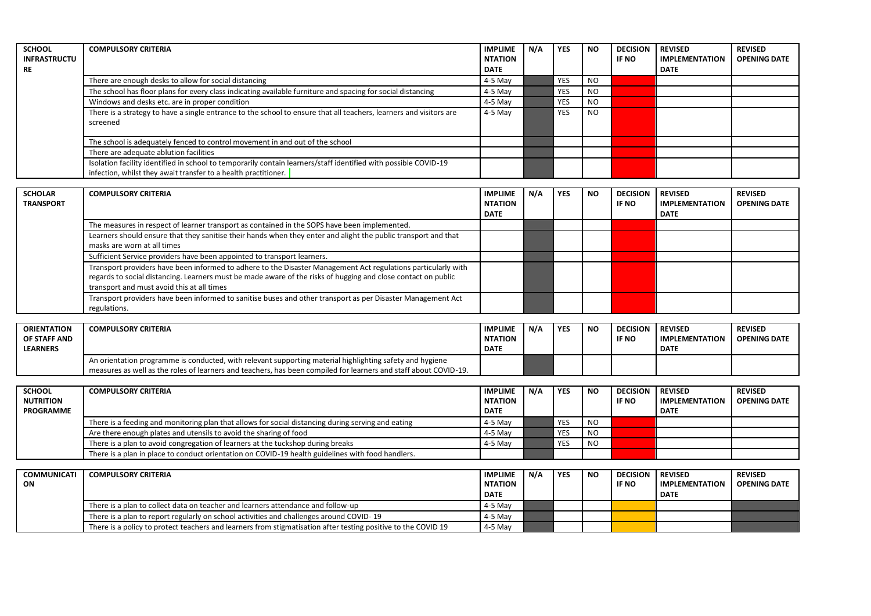| <b>SCHOOL</b>                      | <b>COMPULSORY CRITERIA</b>                                                                                                                                                         | <b>IMPLIME</b>                                  | $N/\Lambda$ | <b>YES</b> | <b>NO</b>      | <b>DECISION</b>          | <b>REVISED</b>                                         | <b>REVISED</b>                        |
|------------------------------------|------------------------------------------------------------------------------------------------------------------------------------------------------------------------------------|-------------------------------------------------|-------------|------------|----------------|--------------------------|--------------------------------------------------------|---------------------------------------|
| <b>INFRASTRUCTU</b><br><b>RE</b>   |                                                                                                                                                                                    | <b>NTATION</b><br><b>DATE</b>                   |             |            |                | IF NO                    | <b>IMPLEMENTATION</b><br><b>DATE</b>                   | <b>OPENING DATE</b>                   |
|                                    | There are enough desks to allow for social distancing                                                                                                                              | 4-5 May                                         |             | <b>YES</b> | <b>NO</b>      |                          |                                                        |                                       |
|                                    | The school has floor plans for every class indicating available furniture and spacing for social distancing                                                                        | 4-5 May                                         |             | <b>YES</b> | <b>NO</b>      |                          |                                                        |                                       |
|                                    | Windows and desks etc. are in proper condition                                                                                                                                     | 4-5 May                                         |             | <b>YES</b> | <b>NO</b>      |                          |                                                        |                                       |
|                                    | There is a strategy to have a single entrance to the school to ensure that all teachers, learners and visitors are                                                                 | 4-5 May                                         |             | <b>YES</b> | <b>NO</b>      |                          |                                                        |                                       |
|                                    | screened                                                                                                                                                                           |                                                 |             |            |                |                          |                                                        |                                       |
|                                    | The school is adequately fenced to control movement in and out of the school                                                                                                       |                                                 |             |            |                |                          |                                                        |                                       |
|                                    | There are adequate ablution facilities                                                                                                                                             |                                                 |             |            |                |                          |                                                        |                                       |
|                                    | Isolation facility identified in school to temporarily contain learners/staff identified with possible COVID-19<br>infection, whilst they await transfer to a health practitioner. |                                                 |             |            |                |                          |                                                        |                                       |
|                                    |                                                                                                                                                                                    |                                                 |             |            |                |                          |                                                        |                                       |
| <b>SCHOLAR</b><br><b>TRANSPORT</b> | <b>COMPULSORY CRITERIA</b>                                                                                                                                                         | <b>IMPLIME</b><br><b>NTATION</b><br><b>DATE</b> | $N/\Lambda$ | <b>YES</b> | <b>NO</b>      | <b>DECISION</b><br>IF NO | <b>REVISED</b><br><b>IMPLEMENTATION</b><br><b>DATE</b> | <b>REVISED</b><br><b>OPENING DATE</b> |
|                                    | The measures in respect of learner transport as contained in the SOPS have been implemented.                                                                                       |                                                 |             |            |                |                          |                                                        |                                       |
|                                    | Learners should ensure that they sanitise their hands when they enter and alight the public transport and that<br>masks are worn at all times                                      |                                                 |             |            |                |                          |                                                        |                                       |
|                                    | Sufficient Service providers have been appointed to transport learners.                                                                                                            |                                                 |             |            |                |                          |                                                        |                                       |
|                                    | Transport providers have been informed to adhere to the Disaster Management Act regulations particularly with                                                                      |                                                 |             |            |                |                          |                                                        |                                       |
|                                    | regards to social distancing. Learners must be made aware of the risks of hugging and close contact on public<br>transport and must avoid this at all times                        |                                                 |             |            |                |                          |                                                        |                                       |
|                                    | Transport providers have been informed to sanitise buses and other transport as per Disaster Management Act<br>regulations.                                                        |                                                 |             |            |                |                          |                                                        |                                       |
|                                    |                                                                                                                                                                                    |                                                 |             |            |                |                          |                                                        |                                       |
| <b>ORIENTATION</b>                 | <b>COMPULSORY CRITERIA</b>                                                                                                                                                         | <b>IMPLIME</b>                                  | N/A         | <b>YES</b> | <b>NO</b>      | <b>DECISION</b>          | <b>REVISED</b>                                         | <b>REVISED</b>                        |
| OF STAFF AND<br><b>LEARNERS</b>    |                                                                                                                                                                                    | <b>NTATION</b><br><b>DATE</b>                   |             |            |                | IF NO                    | <b>IMPLEMENTATION</b><br><b>DATE</b>                   | <b>OPENING DATE</b>                   |
|                                    | An orientation programme is conducted, with relevant supporting material highlighting safety and hygiene                                                                           |                                                 |             |            |                |                          |                                                        |                                       |
|                                    | measures as well as the roles of learners and teachers, has been compiled for learners and staff about COVID-19.                                                                   |                                                 |             |            |                |                          |                                                        |                                       |
|                                    |                                                                                                                                                                                    |                                                 |             |            |                |                          |                                                        |                                       |
| <b>SCHOOL</b><br><b>NUTRITION</b>  | <b>COMPULSORY CRITERIA</b>                                                                                                                                                         | <b>IMPLIME</b><br><b>NTATION</b>                | N/A         | <b>YES</b> | <b>NO</b>      | <b>DECISION</b><br>IF NO | <b>REVISED</b><br><b>IMPLEMENTATION</b>                | <b>REVISED</b><br><b>OPENING DATE</b> |
| <b>PROGRAMME</b>                   |                                                                                                                                                                                    | <b>DATE</b>                                     |             |            |                |                          | <b>DATE</b>                                            |                                       |
|                                    | There is a feeding and monitoring plan that allows for social distancing during serving and eating                                                                                 | 4-5 May                                         |             | <b>YES</b> | <b>NO</b>      |                          |                                                        |                                       |
|                                    | Are there enough plates and utensils to avoid the sharing of food                                                                                                                  | 4-5 May                                         |             | <b>YES</b> | N <sub>O</sub> |                          |                                                        |                                       |
|                                    | There is a plan to avoid congregation of learners at the tuckshop during breaks                                                                                                    | 4-5 May                                         |             | <b>YES</b> | <b>NO</b>      |                          |                                                        |                                       |
|                                    | There is a plan in place to conduct orientation on COVID-19 health guidelines with food handlers.                                                                                  |                                                 |             |            |                |                          |                                                        |                                       |
|                                    |                                                                                                                                                                                    |                                                 |             |            |                |                          |                                                        |                                       |
| <b>COMMUNICATI</b>                 | <b>COMPULSORY CRITERIA</b>                                                                                                                                                         | <b>IMPLIME</b>                                  | N/A         | <b>YES</b> | <b>NO</b>      | <b>DECISION</b>          | <b>REVISED</b>                                         | <b>REVISED</b>                        |
| ON                                 |                                                                                                                                                                                    | <b>NTATION</b>                                  |             |            |                | <b>IF NO</b>             | <b>IMPLEMENTATION</b>                                  | <b>OPENING DATE</b>                   |
|                                    |                                                                                                                                                                                    | <b>DATE</b>                                     |             |            |                |                          | <b>DATE</b>                                            |                                       |
|                                    | There is a plan to collect data on teacher and learners attendance and follow-up                                                                                                   | 4-5 May                                         |             |            |                |                          |                                                        |                                       |
|                                    | There is a plan to report regularly on school activities and challenges around COVID-19                                                                                            | $4-5$ May                                       |             |            |                |                          |                                                        |                                       |
|                                    | There is a policy to protect teachers and learners from stigmatisation after testing positive to the COVID 19                                                                      | $4-5$ May                                       |             |            |                |                          |                                                        |                                       |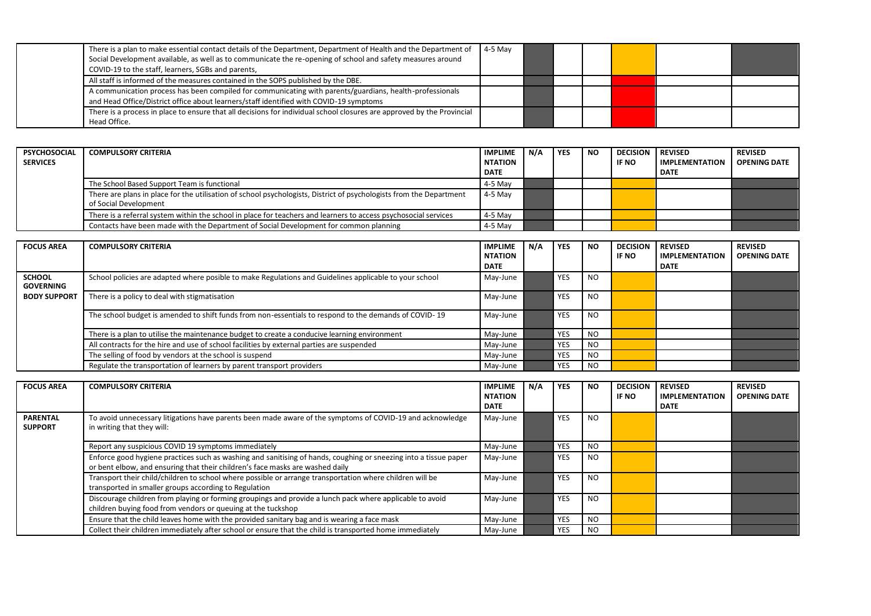| There is a plan to make essential contact details of the Department, Department of Health and the Department of<br>Social Development available, as well as to communicate the re-opening of school and safety measures around<br>COVID-19 to the staff, learners, SGBs and parents, | $4-5$ May |  |  |  |
|--------------------------------------------------------------------------------------------------------------------------------------------------------------------------------------------------------------------------------------------------------------------------------------|-----------|--|--|--|
| All staff is informed of the measures contained in the SOPS published by the DBE.                                                                                                                                                                                                    |           |  |  |  |
| A communication process has been compiled for communicating with parents/guardians, health-professionals<br>and Head Office/District office about learners/staff identified with COVID-19 symptoms                                                                                   |           |  |  |  |
| There is a process in place to ensure that all decisions for individual school closures are approved by the Provincial<br>Head Office.                                                                                                                                               |           |  |  |  |

| <b>PSYCHOSOCIAL</b><br><b>SERVICES</b> | <b>COMPULSORY CRITERIA</b>                                                                                                                   | <b>IMPLIME</b><br><b>NTATION</b><br><b>DATE</b> | N/A | <b>YES</b> | <b>NO</b> | <b>DECISION REVISED</b><br>IF NO | <b>IMPLEMENTATION</b><br><b>DATE</b> | <b>REVISED</b><br><b>OPENING DATE</b> |
|----------------------------------------|----------------------------------------------------------------------------------------------------------------------------------------------|-------------------------------------------------|-----|------------|-----------|----------------------------------|--------------------------------------|---------------------------------------|
|                                        | The School Based Support Team is functional                                                                                                  | 4-5 May                                         |     |            |           |                                  |                                      |                                       |
|                                        | There are plans in place for the utilisation of school psychologists, District of psychologists from the Department<br>of Social Development | 4-5 May                                         |     |            |           |                                  |                                      |                                       |
|                                        | There is a referral system within the school in place for teachers and learners to access psychosocial services                              | 4-5 May                                         |     |            |           |                                  |                                      |                                       |
|                                        | Contacts have been made with the Department of Social Development for common planning                                                        | 4-5 May                                         |     |            |           |                                  |                                      |                                       |

| <b>FOCUS AREA</b>                 | <b>COMPULSORY CRITERIA</b>                                                                             | <b>IMPLIME</b><br><b>NTATION</b><br><b>DATE</b> | N/A | <b>YES</b> | <b>NO</b>      | <b>DECISION</b><br><b>IF NO</b> | <b>REVISED</b><br><b>IMPLEMENTATION</b><br>DATE | <b>REVISED</b><br><b>OPENING DATE</b> |
|-----------------------------------|--------------------------------------------------------------------------------------------------------|-------------------------------------------------|-----|------------|----------------|---------------------------------|-------------------------------------------------|---------------------------------------|
| <b>SCHOOL</b><br><b>GOVERNING</b> | School policies are adapted where posible to make Regulations and Guidelines applicable to your school | May-June                                        |     | <b>YES</b> | N <sub>O</sub> |                                 |                                                 |                                       |
| <b>BODY SUPPORT</b>               | There is a policy to deal with stigmatisation                                                          | May-June                                        |     | <b>YES</b> | N <sub>O</sub> |                                 |                                                 |                                       |
|                                   | The school budget is amended to shift funds from non-essentials to respond to the demands of COVID-19  | May-June                                        |     | <b>YES</b> | N <sub>O</sub> |                                 |                                                 |                                       |
|                                   | There is a plan to utilise the maintenance budget to create a conducive learning environment           | May-June                                        |     | <b>YES</b> | N <sub>O</sub> |                                 |                                                 |                                       |
|                                   | All contracts for the hire and use of school facilities by external parties are suspended              | May-June                                        |     | <b>YES</b> | N <sub>O</sub> |                                 |                                                 |                                       |
|                                   | The selling of food by vendors at the school is suspend                                                | May-June                                        |     | <b>YES</b> | N <sub>O</sub> |                                 |                                                 |                                       |
|                                   | Regulate the transportation of learners by parent transport providers                                  | May-June                                        |     | <b>YES</b> | NO             |                                 |                                                 |                                       |

| <b>FOCUS AREA</b>                 | <b>COMPULSORY CRITERIA</b>                                                                                                                                                                        | <b>IMPLIME</b><br><b>NTATION</b><br><b>DATE</b> | N/A | <b>YES</b> | <b>NO</b>     | <b>DECISION</b><br>IF NO | <b>REVISED</b><br><b>IMPLEMENTATION</b><br>DATE | <b>REVISED</b><br><b>OPENING DATE</b> |
|-----------------------------------|---------------------------------------------------------------------------------------------------------------------------------------------------------------------------------------------------|-------------------------------------------------|-----|------------|---------------|--------------------------|-------------------------------------------------|---------------------------------------|
| <b>PARENTAL</b><br><b>SUPPORT</b> | To avoid unnecessary litigations have parents been made aware of the symptoms of COVID-19 and acknowledge<br>in writing that they will:                                                           | May-June                                        |     | <b>YES</b> | <b>NO</b>     |                          |                                                 |                                       |
|                                   | Report any suspicious COVID 19 symptoms immediately                                                                                                                                               | May-June                                        |     | <b>YES</b> | NO.           |                          |                                                 |                                       |
|                                   | Enforce good hygiene practices such as washing and sanitising of hands, coughing or sneezing into a tissue paper<br>or bent elbow, and ensuring that their children's face masks are washed daily | May-June                                        |     | <b>YES</b> | <b>NO</b>     |                          |                                                 |                                       |
|                                   | Transport their child/children to school where possible or arrange transportation where children will be<br>transported in smaller groups according to Regulation                                 | May-June                                        |     | <b>YES</b> | NO.           |                          |                                                 |                                       |
|                                   | Discourage children from playing or forming groupings and provide a lunch pack where applicable to avoid<br>children buying food from vendors or queuing at the tuckshop                          | May-June                                        |     | <b>YES</b> | NO.           |                          |                                                 |                                       |
|                                   | Ensure that the child leaves home with the provided sanitary bag and is wearing a face mask                                                                                                       | May-June                                        |     | <b>YES</b> | <sub>NO</sub> |                          |                                                 |                                       |
|                                   | Collect their children immediately after school or ensure that the child is transported home immediately                                                                                          | May-June                                        |     | <b>YES</b> | NO.           |                          |                                                 |                                       |